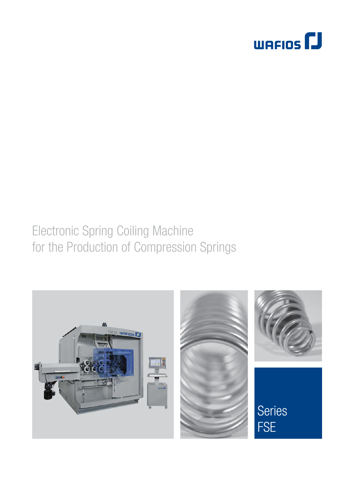

# Electronic Spring Coiling Machine for the Production of Compression Springs

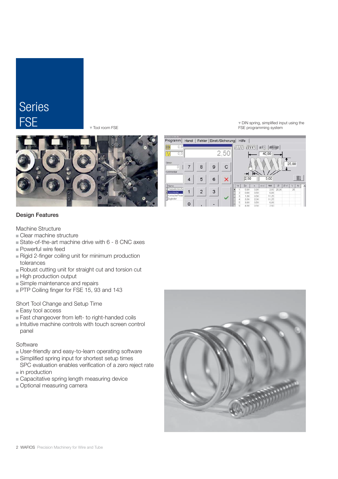### Series FSE

Tool room FSE



DIN spring, simplified input using the FSE programming system



### Design Features

Machine Structure

- Clear machine structure
- State-of-the-art machine drive with 6 8 CNC axes
- **Powerful wire feed**
- Rigid 2-finger coiling unit for minimum production tolerances
- Robust cutting unit for straight cut and torsion cut
- High production output
- **Simple maintenance and repairs**
- PTP Coiling finger for FSE 15, 93 and 143

Short Tool Change and Setup Time

- **Easy tool access**
- Fast changeover from left- to right-handed coils
- $\blacksquare$  Intuitive machine controls with touch screen control panel

### **Software**

- User-friendly and easy-to-learn operating software
- Simplified spring input for shortest setup times SPC evaluation enables verification of a zero reject rate
- $\blacksquare$  in production
- Capacitative spring length measuring device
- Optional measuring camera

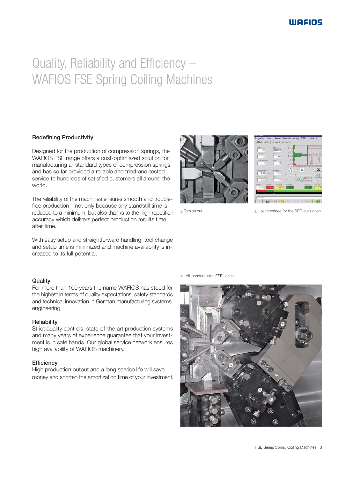# Quality, Reliability and Efficiency – WAFIOS FSE Spring Coiling Machines

### Redefining Productivity

Designed for the production of compression springs, the WAFIOS FSE range offers a cost-optimiszed solution for manufacturing all standard types of compression springs, and has so far provided a reliable and tried-and-tested service to hundreds of satisfied customers all around the world.

The reliability of the machines ensures smooth and troublefree production – not only because any standstill time is reduced to a minimum, but also thanks to the high repetition accuracy which delivers perfect production results time after time.

With easy setup and straightforward handling, tool change and setup time is minimized and machine availability is increased to its full potential.

### **Quality**

For more than 100 years the name WAFIOS has stood for the highest in terms of quality expectations, safety standards and technical innovation in German manufacturing systems engineering.

#### **Reliability**

Strict quality controls, state-of-the-art production systems and many years of experience guarantee that your investment is in safe hands. Our global service network ensures high availability of WAFIOS machinery.

### **Efficiency**

High production output and a long service life will save money and shorten the amortization time of your investment.





**Torsion cut** Torsion cut a User interface for the SPC evaluation

Left-handed coils, FSE series